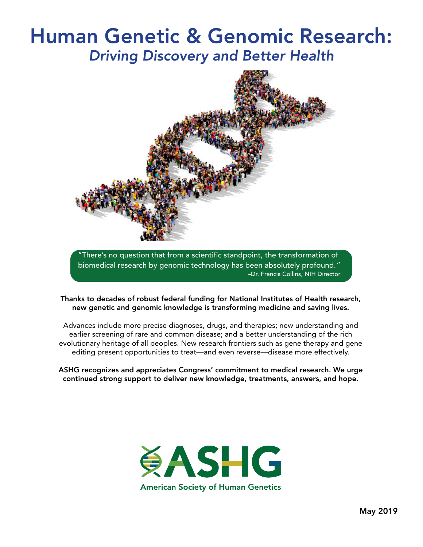# Human Genetic & Genomic Research: Driving Discovery and Better Health



"There's no question that from a scientific standpoint, the transformation of biomedical research by genomic technology has been absolutely profound." –Dr. Francis Collins, NIH Director

Thanks to decades of robust federal funding for National Institutes of Health research, new genetic and genomic knowledge is transforming medicine and saving lives.

Advances include more precise diagnoses, drugs, and therapies; new understanding and earlier screening of rare and common disease; and a better understanding of the rich evolutionary heritage of all peoples. New research frontiers such as gene therapy and gene editing present opportunities to treat—and even reverse—disease more effectively.

ASHG recognizes and appreciates Congress' commitment to medical research. We urge continued strong support to deliver new knowledge, treatments, answers, and hope.

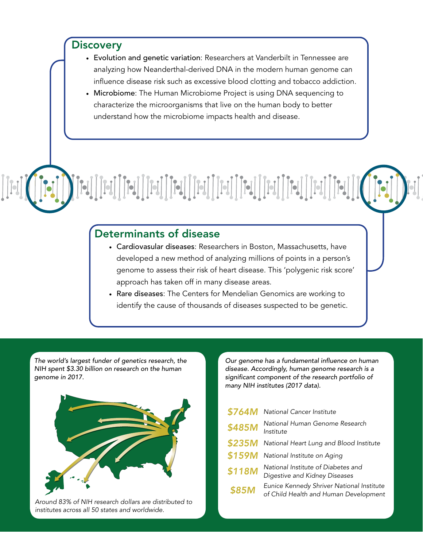### **Discovery**

- Evolution and genetic variation: Researchers at Vanderbilt in Tennessee are analyzing how Neanderthal-derived DNA in the modern human genome can influence disease risk such as excessive blood clotting and tobacco addiction.
- Microbiome: The Human Microbiome Project is using DNA sequencing to characterize the microorganisms that live on the human body to better understand how the microbiome impacts health and disease.

### Determinants of disease

- Cardiovasular diseases: Researchers in Boston, Massachusetts, have developed a new method of analyzing millions of points in a person's genome to assess their risk of heart disease. This 'polygenic risk score' approach has taken off in many disease areas.
- Rare diseases: The Centers for Mendelian Genomics are working to identify the cause of thousands of diseases suspected to be genetic.

The world's largest funder of genetics research, the NIH spent \$3.30 billion on research on the human genome in 2017.



Around 83% of NIH research dollars are distributed to institutes across all 50 states and worldwide.

Our genome has a fundamental influence on human disease. Accordingly, human genome research is a significant component of the research portfolio of many NIH institutes (2017 data).

| \$764M | National Cancer Institute                                                          |
|--------|------------------------------------------------------------------------------------|
| \$485M | National Human Genome Research<br>Institute                                        |
| \$235M | National Heart Lung and Blood Institute                                            |
| \$159M | National Institute on Aging                                                        |
| \$118M | National Institute of Diabetes and<br>Digestive and Kidney Diseases                |
| \$85M  | Eunice Kennedy Shriver National Institute<br>of Child Health and Human Development |
|        |                                                                                    |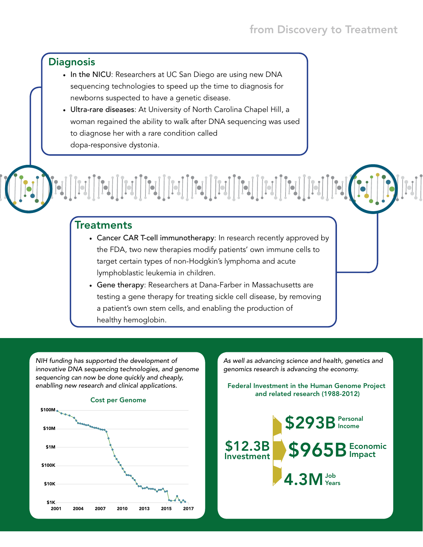### from Discovery to Treatment

### **Diagnosis**

- In the NICU: Researchers at UC San Diego are using new DNA sequencing technologies to speed up the time to diagnosis for newborns suspected to have a genetic disease.
- Ultra-rare diseases: At University of North Carolina Chapel Hill, a woman regained the ability to walk after DNA sequencing was used to diagnose her with a rare condition called dopa-responsive dystonia.

Treatments

• Cancer CAR T-cell immunotherapy: In research recently approved by the FDA, two new therapies modify patients' own immune cells to target certain types of non-Hodgkin's lymphoma and acute lymphoblastic leukemia in children.

 $\begin{bmatrix} \begin{bmatrix} \mathbf{-1} \end{bmatrix} & \begin{bmatrix} \mathbf{-1} \end{bmatrix} & \begin{bmatrix} \mathbf{-1} \end{bmatrix} & \begin{bmatrix} \mathbf{-1} \end{bmatrix} & \begin{bmatrix} \mathbf{-1} \end{bmatrix} & \begin{bmatrix} \mathbf{-1} \end{bmatrix} & \begin{bmatrix} \mathbf{-1} \end{bmatrix} & \begin{bmatrix} \mathbf{-1} \end{bmatrix} & \begin{bmatrix} \mathbf{-1} \end{bmatrix} & \begin{bmatrix} \mathbf{-1} \end{bmatrix} & \begin{bmatrix} \mathbf{-1} \end{bmatrix} & \begin{bmatrix$ 

• Gene therapy: Researchers at Dana-Farber in Massachusetts are testing a gene therapy for treating sickle cell disease, by removing a patient's own stem cells, and enabling the production of healthy hemoglobin.

NIH funding has supported the development of innovative DNA sequencing technologies, and genome sequencing can now be done quickly and cheaply, enablling new research and clinical applications.



As well as advancing science and health, genetics and genomics research is advancing the economy.

Federal Investment in the Human Genome Project and related research (1988-2012)